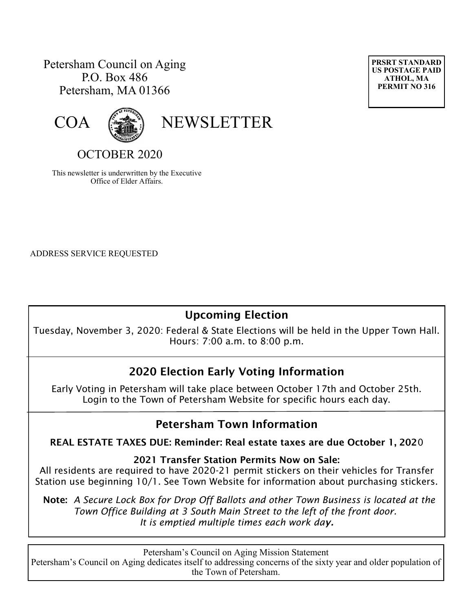## Petersham Council on Aging P.O. Box 486 Petersham, MA 01366





# OCTOBER 2020

This newsletter is underwritten by the Executive Office of Elder Affairs.

ADDRESS SERVICE REQUESTED

# **Upcoming Election**

Tuesday, November 3, 2020: Federal & State Elections will be held in the Upper Town Hall. Hours: 7:00 a.m. to 8:00 p.m.

# **2020 Election Early Voting Information**

Early Voting in Petersham will take place between October 17th and October 25th. Login to the Town of Petersham Website for specific hours each day.

# **Petersham Town Information**

**REAL ESTATE TAXES DUE: Reminder: Real estate taxes are due October 1, 202**0

#### **2021 Transfer Station Permits Now on Sale:**

All residents are required to have 2020-21 permit stickers on their vehicles for Transfer Station use beginning 10/1. See Town Website for information about purchasing stickers.

**Note:** *A Secure Lock Box for Drop Off Ballots and other Town Business is located at the Town Office Building at 3 South Main Street to the left of the front door. It is emptied multiple times each work day.*

Petersham's Council on Aging Mission Statement Petersham's Council on Aging dedicates itself to addressing concerns of the sixty year and older population of the Town of Petersham.

**PRSRT STANDARD US POSTAGE PAID ATHOL, MA PERMIT NO 316**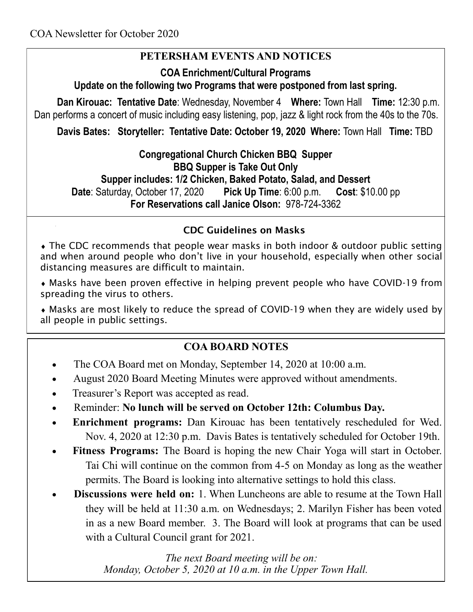# **PETERSHAM EVENTS AND NOTICES**

### **COA Enrichment/Cultural Programs**

**Update on the following two Programs that were postponed from last spring.** 

**Dan Kirouac: Tentative Date**: Wednesday, November 4 **Where:** Town Hall **Time:** 12:30 p.m. Dan performs a concert of music including easy listening, pop, jazz & light rock from the 40s to the 70s.

**Davis Bates: Storyteller: Tentative Date: October 19, 2020 Where:** Town Hall **Time:** TBD

**Congregational Church Chicken BBQ Supper BBQ Supper is Take Out Only Supper includes: 1/2 Chicken, Baked Potato, Salad, and Dessert Date**: Saturday, October 17, 2020 **Pick Up Time**: 6:00 p.m. **Cost**: \$10.00 pp **For Reservations call Janice Olson:** 978-724-3362

### **CDC Guidelines on Masks**

 The CDC recommends that people wear masks in both indoor & outdoor public setting and when around people who don't live in your household, especially when other social [distancing](https://www.cdc.gov/coronavirus/2019-ncov/prevent-getting-sick/social-distancing.html) measures are difficult to maintain.

 Masks have been proven effective in helping prevent people who have COVID-19 from spreading the virus to others.

 Masks are most likely to reduce the spread of COVID-19 when they are widely used by all people in public settings.

### **COA BOARD NOTES**

- The COA Board met on Monday, September 14, 2020 at 10:00 a.m.
- August 2020 Board Meeting Minutes were approved without amendments.
- Treasurer's Report was accepted as read.
- Reminder: **No lunch will be served on October 12th: Columbus Day.**
- **Enrichment programs:** Dan Kirouac has been tentatively rescheduled for Wed. Nov. 4, 2020 at 12:30 p.m. Davis Bates is tentatively scheduled for October 19th.
- **Fitness Programs:** The Board is hoping the new Chair Yoga will start in October. Tai Chi will continue on the common from 4-5 on Monday as long as the weather permits. The Board is looking into alternative settings to hold this class.
- **Discussions were held on:** 1. When Luncheons are able to resume at the Town Hall they will be held at 11:30 a.m. on Wednesdays; 2. Marilyn Fisher has been voted in as a new Board member. 3. The Board will look at programs that can be used with a Cultural Council grant for 2021.

 *The next Board meeting will be on: Monday, October 5, 2020 at 10 a.m. in the Upper Town Hall.*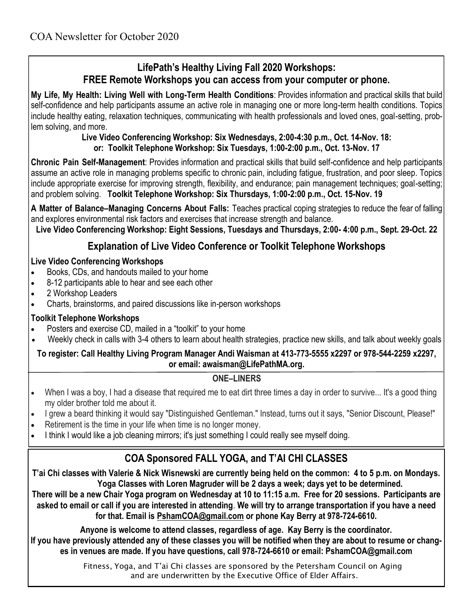## **LifePath's Healthy Living Fall 2020 Workshops: FREE Remote Workshops you can access from your computer or phone.**

**My Life, My Health: Living Well with Long-Term Health Conditions**: Provides information and practical skills that build self-confidence and help participants assume an active role in managing one or more long-term health conditions. Topics include healthy eating, relaxation techniques, communicating with health professionals and loved ones, goal-setting, problem solving, and more.

#### **Live Video Conferencing Workshop: Six Wednesdays, 2:00-4:30 p.m., Oct. 14-Nov. 18: or: Toolkit Telephone Workshop: Six Tuesdays, 1:00-2:00 p.m., Oct. 13-Nov. 17**

**Chronic Pain Self-Management**: Provides information and practical skills that build self-confidence and help participants assume an active role in managing problems specific to chronic pain, including fatigue, frustration, and poor sleep. Topics include appropriate exercise for improving strength, flexibility, and endurance; pain management techniques; goal-setting; and problem solving. **Toolkit Telephone Workshop: Six Thursdays, 1:00-2:00 p.m., Oct. 15-Nov. 19** 

**A Matter of Balance–Managing Concerns About Falls:** Teaches practical coping strategies to reduce the fear of falling and explores environmental risk factors and exercises that increase strength and balance.

**Live Video Conferencing Workshop: Eight Sessions, Tuesdays and Thursdays, 2:00- 4:00 p.m., Sept. 29-Oct. 22** 

## **Explanation of Live Video Conference or Toolkit Telephone Workshops**

#### **Live Video Conferencing Workshops**

- Books, CDs, and handouts mailed to your home
- 8-12 participants able to hear and see each other
- 2 Workshop Leaders
- Charts, brainstorms, and paired discussions like in-person workshops

#### **Toolkit Telephone Workshops**

- Posters and exercise CD, mailed in a "toolkit" to your home
- Weekly check in calls with 3-4 others to learn about health strategies, practice new skills, and talk about weekly goals

#### **To register: Call Healthy Living Program Manager Andi Waisman at 413-773-5555 x2297 or 978-544-2259 x2297, or email: awaisman@LifePathMA.org.**

#### **ONE–LINERS**

- When I was a boy, I had a disease that required me to eat dirt three times a day in order to survive... It's a good thing my older brother told me about it.
- I grew a beard thinking it would say "Distinguished Gentleman." Instead, turns out it says, "Senior Discount, Please!"
- Retirement is the time in your life when time is no longer money.
- I think I would like a job cleaning mirrors; it's just something I could really see myself doing.

# **COA Sponsored FALL YOGA, and T'AI CHI CLASSES**

**T'ai Chi classes with Valerie & Nick Wisnewski are currently being held on the common: 4 to 5 p.m. on Mondays. Yoga Classes with Loren Magruder will be 2 days a week; days yet to be determined.** 

**There will be a new Chair Yoga program on Wednesday at 10 to 11:15 a.m. Free for 20 sessions. Participants are asked to email or call if you are interested in attending**. **We will try to arrange transportation if you have a need for that. Email is [PshamCOA@gmail.com](mailto:PshamCOA@gmail.com) or phone Kay Berry at 978-724-6610.**

**Anyone is welcome to attend classes, regardless of age. Kay Berry is the coordinator. If you have previously attended any of these classes you will be notified when they are about to resume or changes in venues are made. If you have questions, call 978-724-6610 or email: PshamCOA@gmail.com**

> Fitness, Yoga, and T'ai Chi classes are sponsored by the Petersham Council on Aging and are underwritten by the Executive Office of Elder Affairs.